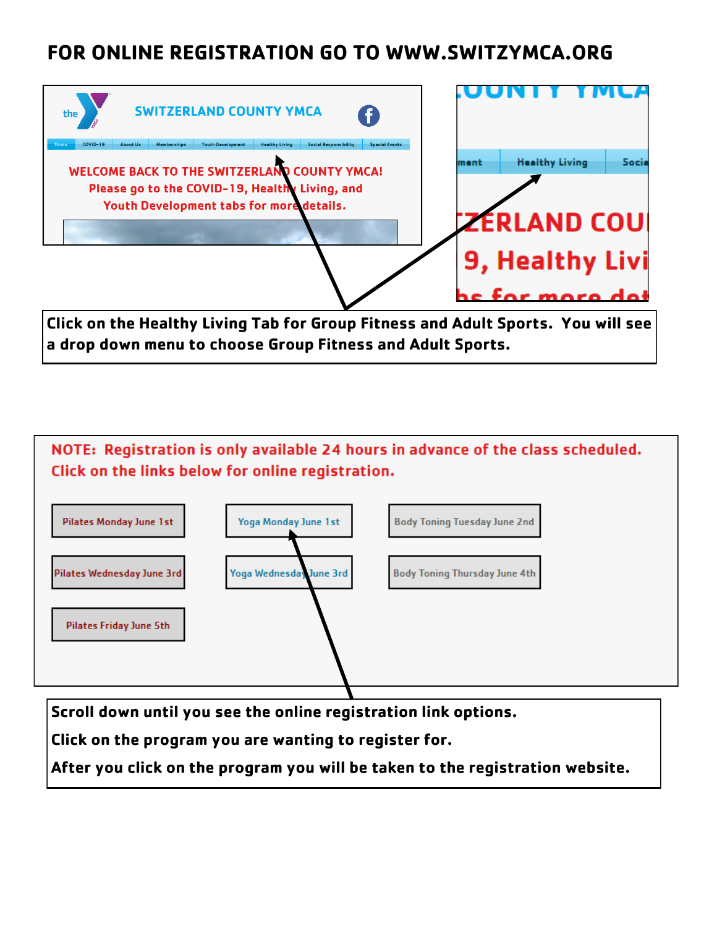# **FOR ONLINE REGISTRATION GO TO WWW.SWITZYMCA.ORG**



**Click on the Healthy Living Tab for Group Fitness and Adult Sports. You will see a drop down menu to choose Group Fitness and Adult Sports.**



**Scroll down until you see the online registration link options.** 

**Click on the program you are wanting to register for.** 

**After you click on the program you will be taken to the registration website.**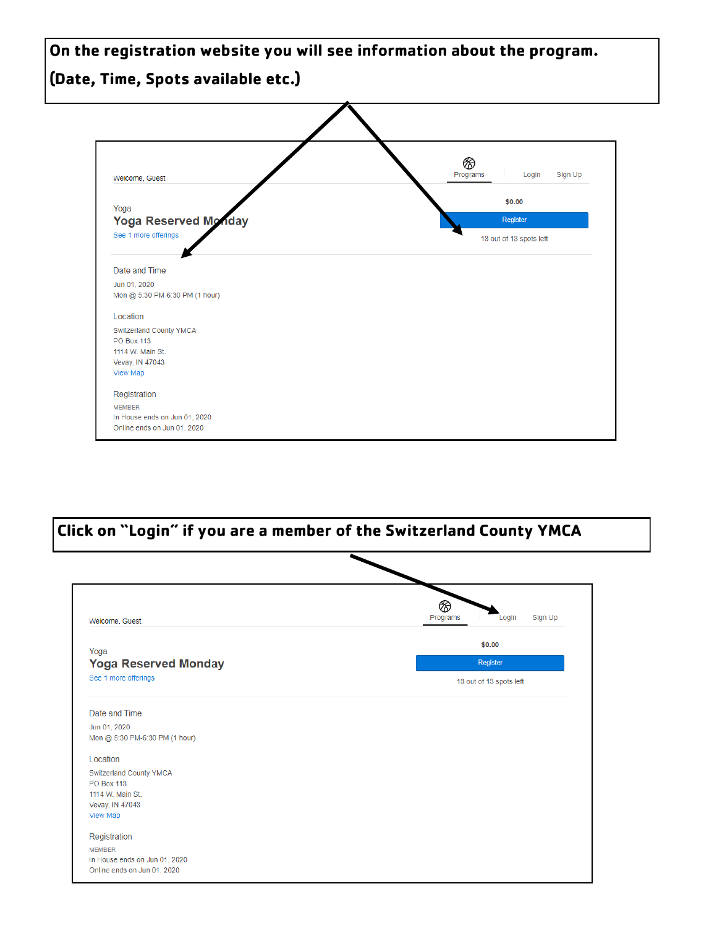**On the registration website you will see information about the program. (Date, Time, Spots available etc.)**



**Click on "Login" if you are a member of the Switzerland County YMCA**

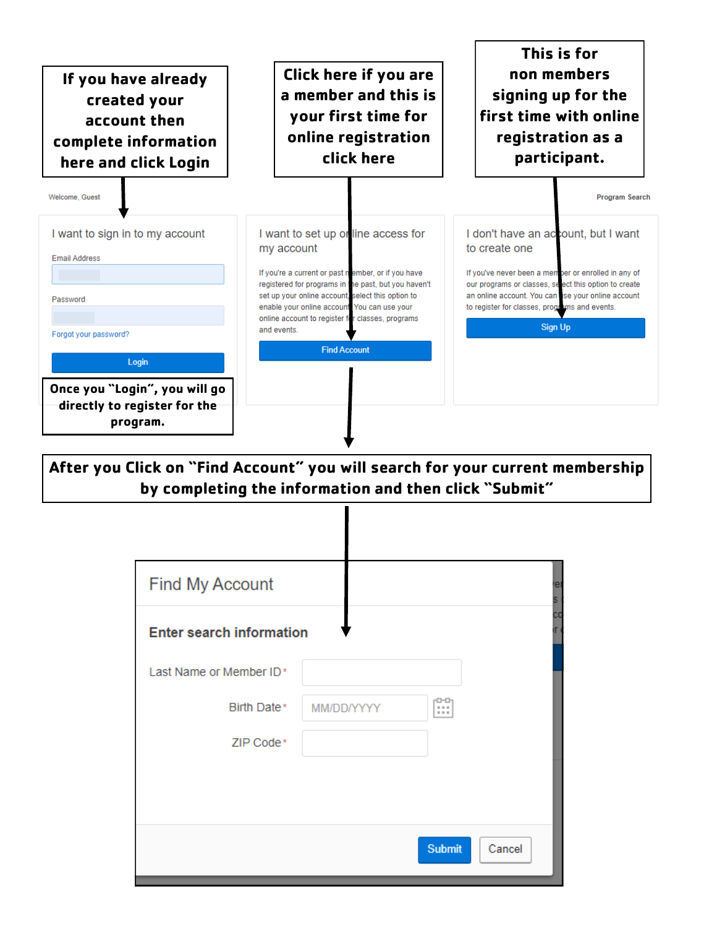

**After you Click on "Find Account" you will search for your current membership by completing the information and then click "Submit"**

| eı |
|----|
| cо |
|    |
|    |
|    |
|    |
|    |
|    |
|    |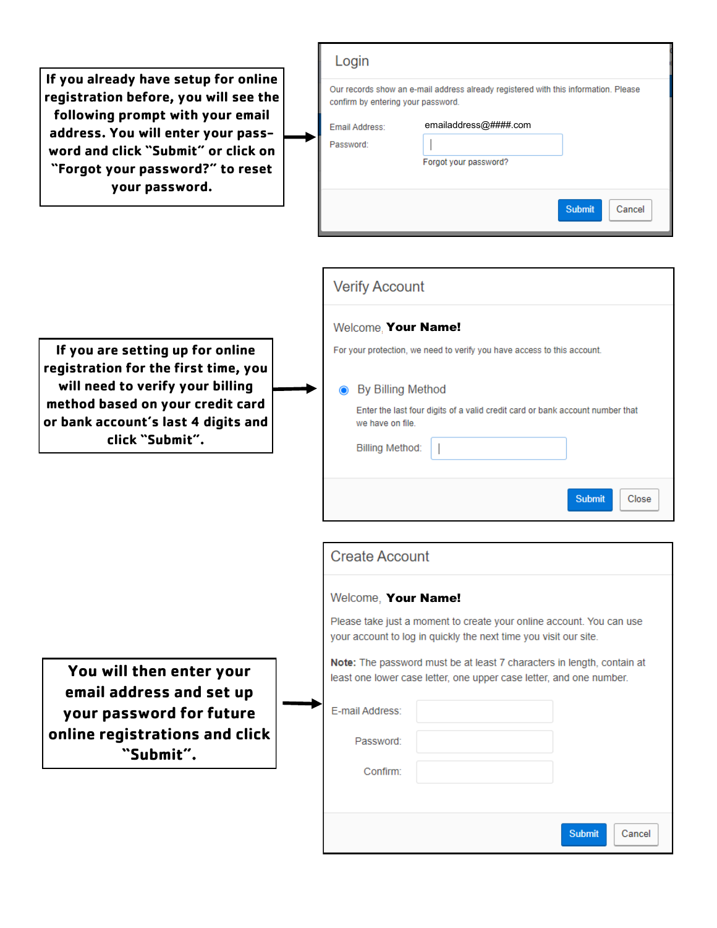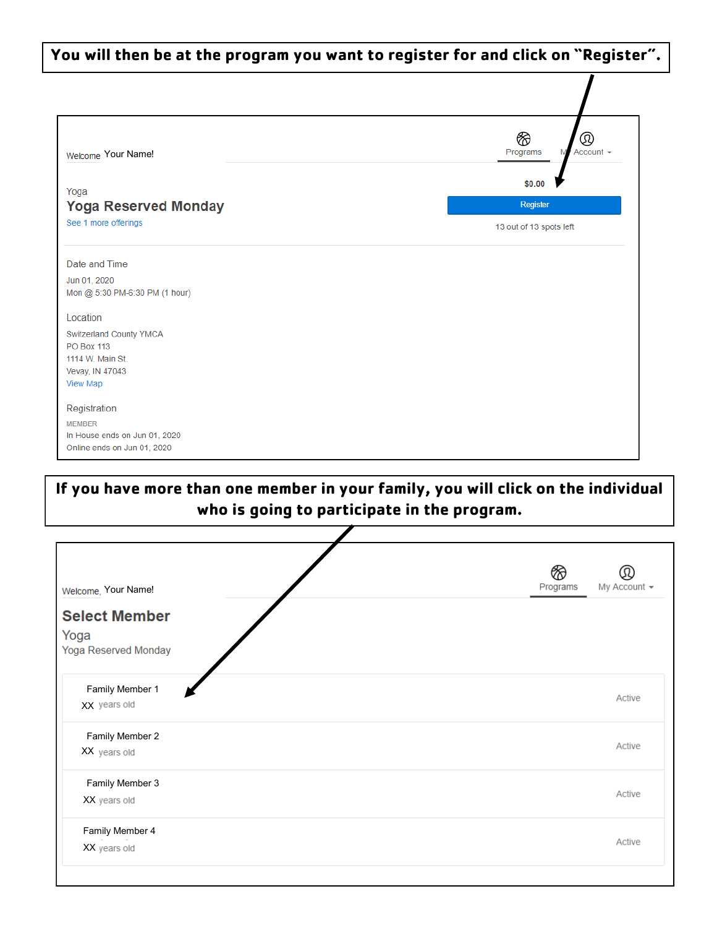| You will then be at the program you want to register for and click on "Register". |                                                 |  |
|-----------------------------------------------------------------------------------|-------------------------------------------------|--|
|                                                                                   |                                                 |  |
| Welcome Your Name!                                                                | ⊗<br>$^\circledR$<br>Account $\sim$<br>Programs |  |
| Yoga                                                                              | \$0.00                                          |  |
| <b>Yoga Reserved Monday</b>                                                       | Register                                        |  |
| See 1 more offerings                                                              | 13 out of 13 spots left                         |  |
| Date and Time                                                                     |                                                 |  |
| Jun 01, 2020<br>Mon @ 5:30 PM-6:30 PM (1 hour)                                    |                                                 |  |
| Location                                                                          |                                                 |  |
| Switzerland County YMCA<br><b>PO Box 113</b>                                      |                                                 |  |
| 1114 W. Main St.<br>Vevay, IN 47043                                               |                                                 |  |
| <b>View Map</b>                                                                   |                                                 |  |
| Registration                                                                      |                                                 |  |
| <b>MEMBER</b>                                                                     |                                                 |  |
| In House ends on Jun 01, 2020                                                     |                                                 |  |

### **If you have more than one member in your family, you will click on the individual who is going to participate in the program.**

Online ends on Jun 01, 2020

|                      | ⊗                        |
|----------------------|--------------------------|
| Welcome, Your Name!  | Programs<br>My Account ▼ |
| <b>Select Member</b> |                          |
| Yoga                 |                          |
| Yoga Reserved Monday |                          |
| Family Member 1      |                          |
| XX years old         | Active                   |
|                      |                          |
| Family Member 2      | Active                   |
| XX years old         |                          |
| Family Member 3      |                          |
| XX years old         | Active                   |
| Family Member 4      |                          |
| XX years old         | Active                   |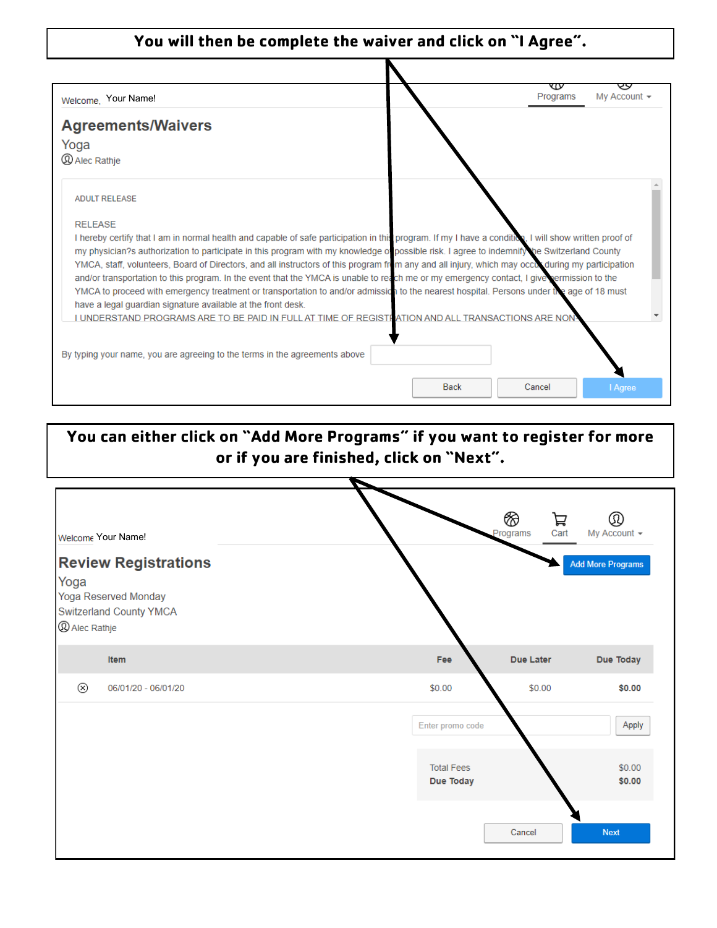#### **You will then be complete the waiver and click on "I Agree".**

E

| Welcome, Your Name!                                                                                                                                                                                      |             | v<br>Programs | My Account $\sim$ |
|----------------------------------------------------------------------------------------------------------------------------------------------------------------------------------------------------------|-------------|---------------|-------------------|
| <b>Agreements/Waivers</b>                                                                                                                                                                                |             |               |                   |
| Yoga                                                                                                                                                                                                     |             |               |                   |
| <b><i>Q Alec Rathje</i></b>                                                                                                                                                                              |             |               |                   |
| <b>ADULT RELEASE</b>                                                                                                                                                                                     |             |               |                   |
| <b>RELEASE</b>                                                                                                                                                                                           |             |               |                   |
| I hereby certify that I am in normal health and capable of safe participation in this program. If my I have a condition, I will show written proof of                                                    |             |               |                   |
| my physician?s authorization to participate in this program with my knowledge o possible risk. I agree to indemnify he Switzerland County                                                                |             |               |                   |
| YMCA, staff, volunteers, Board of Directors, and all instructors of this program from any and all injury, which may occur during my participation                                                        |             |               |                   |
| and/or transportation to this program. In the event that the YMCA is unable to reach me or my emergency contact, I give permission to the                                                                |             |               |                   |
| YMCA to proceed with emergency treatment or transportation to and/or admission to the nearest hospital. Persons under the age of 18 must<br>have a legal guardian signature available at the front desk. |             |               |                   |
| I UNDERSTAND PROGRAMS ARE TO BE PAID IN FULL AT TIME OF REGISTI ATION AND ALL TRANSACTIONS ARE NON                                                                                                       |             |               |                   |
|                                                                                                                                                                                                          |             |               |                   |
|                                                                                                                                                                                                          |             |               |                   |
| By typing your name, you are agreeing to the terms in the agreements above                                                                                                                               |             |               |                   |
|                                                                                                                                                                                                          | <b>Back</b> | Cancel        | I Agree           |
|                                                                                                                                                                                                          |             |               |                   |

### **You can either click on "Add More Programs" if you want to register for more or if you are finished, click on "Next".**

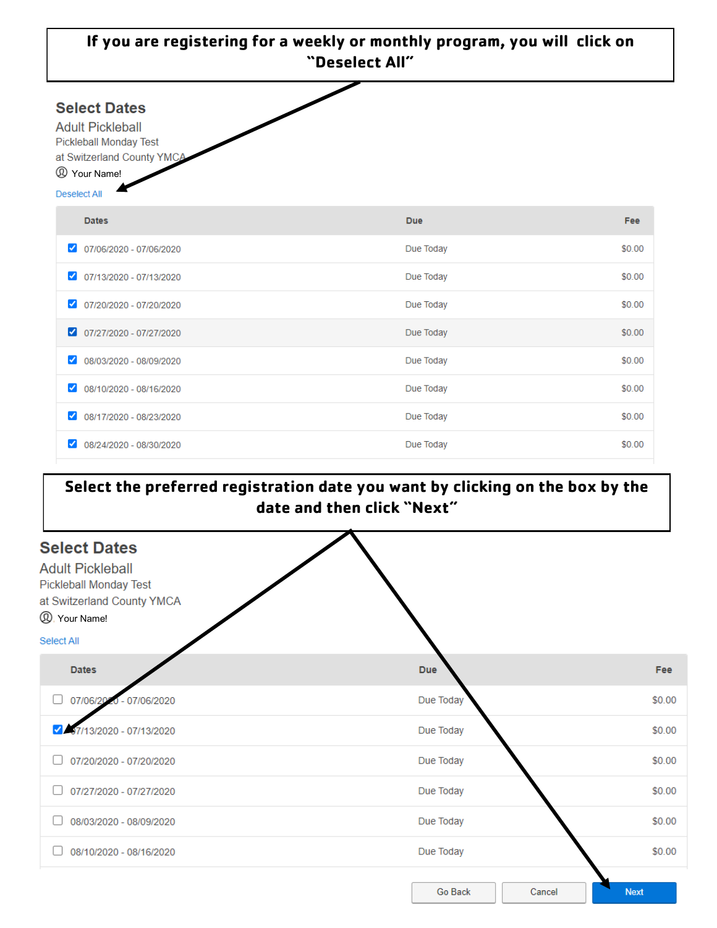| If you are registering for a weekly or monthly program, you will click on<br>"Deselect All"                                                                     |            |        |  |
|-----------------------------------------------------------------------------------------------------------------------------------------------------------------|------------|--------|--|
| <b>Select Dates</b><br><b>Adult Pickleball</b><br><b>Pickleball Monday Test</b><br>at Switzerland County YMCA<br><sup>2</sup> Your Name!<br><b>Deselect All</b> |            |        |  |
| <b>Dates</b>                                                                                                                                                    | <b>Due</b> | Fee    |  |
| 07/06/2020 - 07/06/2020<br>✓                                                                                                                                    | Due Today  | \$0.00 |  |
| 07/13/2020 - 07/13/2020                                                                                                                                         | Due Today  | \$0.00 |  |
| 07/20/2020 - 07/20/2020<br>$\checkmark$                                                                                                                         | Due Today  | \$0.00 |  |
| $\bigcirc$ 07/27/2020 - 07/27/2020                                                                                                                              | Due Today  | \$0.00 |  |
| 08/03/2020 - 08/09/2020<br>✓                                                                                                                                    | Due Today  | \$0.00 |  |
| 08/10/2020 - 08/16/2020<br>✓                                                                                                                                    | Due Today  | \$0.00 |  |
| 08/17/2020 - 08/23/2020<br>✓                                                                                                                                    | Due Today  | \$0.00 |  |
| 08/24/2020 - 08/30/2020<br>✓                                                                                                                                    | Due Today  | \$0.00 |  |

## **Select the preferred registration date you want by clicking on the box by the date and then click "Next"**

| <b>Select Dates</b><br><b>Adult Pickleball</b><br>Pickleball Monday Test<br>at Switzerland County YMCA |                   |             |
|--------------------------------------------------------------------------------------------------------|-------------------|-------------|
| <sup>2</sup> Your Name!<br>Select All                                                                  |                   |             |
| <b>Dates</b>                                                                                           | <b>Due</b>        | Fee         |
| 07/06/201<br>$0 - 07/06/2020$<br>□                                                                     | Due Today         | \$0.00      |
| 17/13/2020 - 07/13/2020                                                                                | Due Today         | \$0.00      |
| 07/20/2020 - 07/20/2020                                                                                | Due Today         | \$0.00      |
| 07/27/2020 - 07/27/2020                                                                                | Due Today         | \$0.00      |
| 08/03/2020 - 08/09/2020                                                                                | Due Today         | \$0.00      |
| 08/10/2020 - 08/16/2020                                                                                | Due Today         | \$0.00      |
|                                                                                                        | Go Back<br>Cancel | <b>Next</b> |